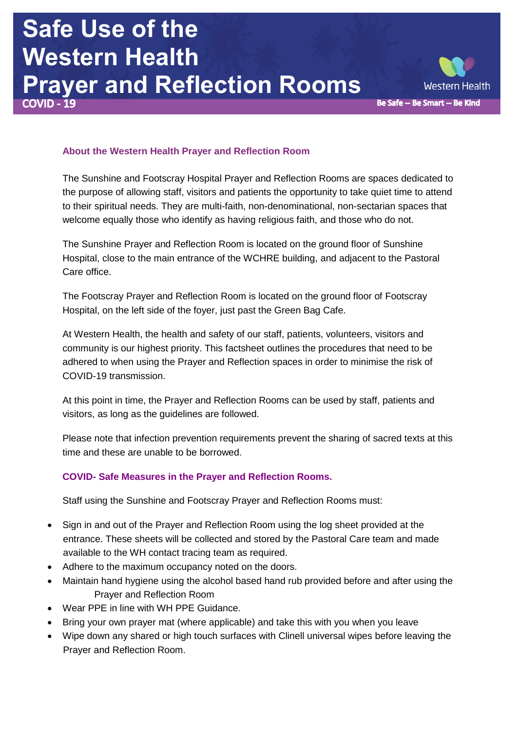## **Safe Use of the Western Health Prayer and Reflection Rooms**



## **About the Western Health Prayer and Reflection Room**

The Sunshine and Footscray Hospital Prayer and Reflection Rooms are spaces dedicated to the purpose of allowing staff, visitors and patients the opportunity to take quiet time to attend to their spiritual needs. They are multi-faith, non-denominational, non-sectarian spaces that welcome equally those who identify as having religious faith, and those who do not.

The Sunshine Prayer and Reflection Room is located on the ground floor of Sunshine Hospital, close to the main entrance of the WCHRE building, and adjacent to the Pastoral Care office.

The Footscray Prayer and Reflection Room is located on the ground floor of Footscray Hospital, on the left side of the foyer, just past the Green Bag Cafe.

At Western Health, the health and safety of our staff, patients, volunteers, visitors and community is our highest priority. This factsheet outlines the procedures that need to be adhered to when using the Prayer and Reflection spaces in order to minimise the risk of COVID-19 transmission.

At this point in time, the Prayer and Reflection Rooms can be used by staff, patients and visitors, as long as the guidelines are followed.

Please note that infection prevention requirements prevent the sharing of sacred texts at this time and these are unable to be borrowed.

## **COVID- Safe Measures in the Prayer and Reflection Rooms.**

Staff using the Sunshine and Footscray Prayer and Reflection Rooms must:

- Sign in and out of the Prayer and Reflection Room using the log sheet provided at the entrance. These sheets will be collected and stored by the Pastoral Care team and made available to the WH contact tracing team as required.
- Adhere to the maximum occupancy noted on the doors.
- Maintain hand hygiene using the alcohol based hand rub provided before and after using the Prayer and Reflection Room
- Wear PPE in line with WH PPE Guidance.
- Bring your own prayer mat (where applicable) and take this with you when you leave
- Wipe down any shared or high touch surfaces with Clinell universal wipes before leaving the Prayer and Reflection Room.